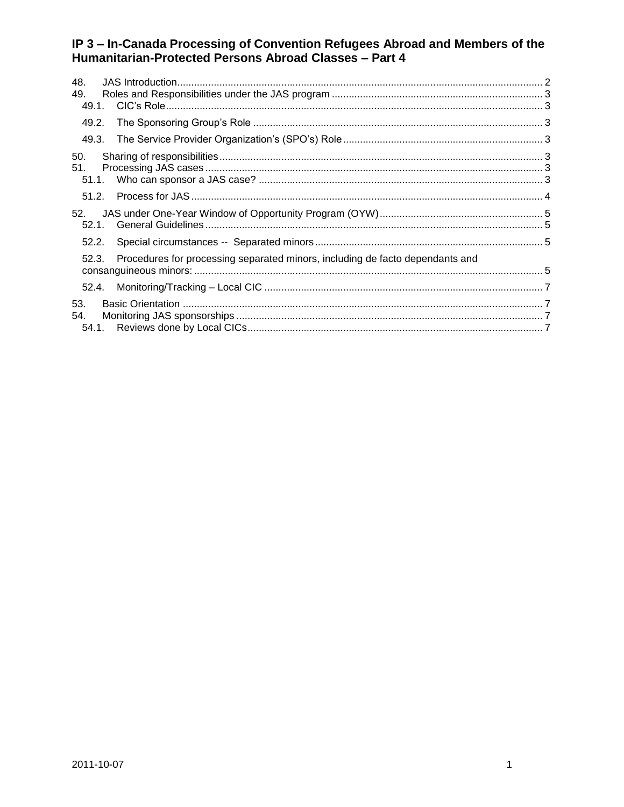| 48.<br>49.<br>49.1.                                                                    |  |  |
|----------------------------------------------------------------------------------------|--|--|
| 49.2.                                                                                  |  |  |
| 49.3.                                                                                  |  |  |
| 50.<br>51.<br>51.1.                                                                    |  |  |
| 51.2.                                                                                  |  |  |
| 52.<br>52.1                                                                            |  |  |
| 52.2.                                                                                  |  |  |
| Procedures for processing separated minors, including de facto dependants and<br>52.3. |  |  |
| 52.4.                                                                                  |  |  |
| 53.<br>54.                                                                             |  |  |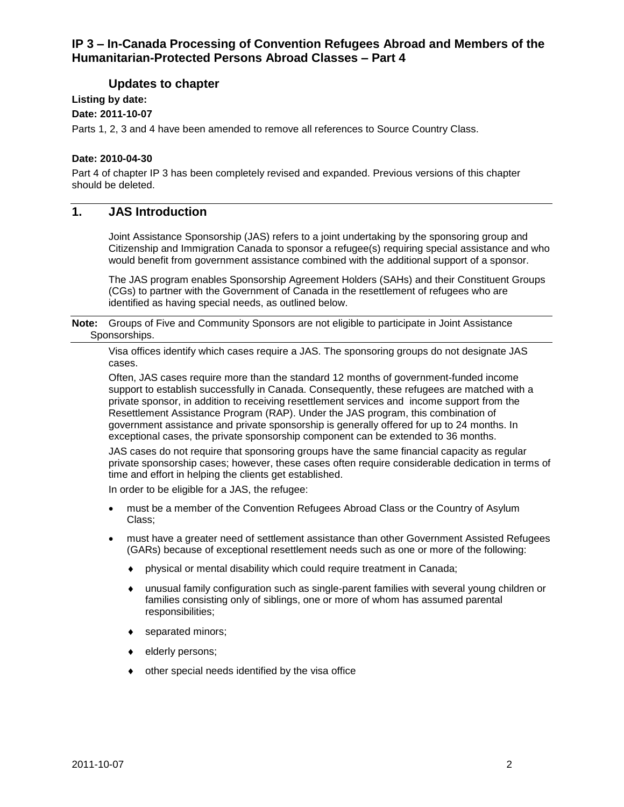# **Updates to chapter**

# **Listing by date:**

**Date: 2011-10-07**

Parts 1, 2, 3 and 4 have been amended to remove all references to Source Country Class.

#### **Date: 2010-04-30**

Part 4 of chapter IP 3 has been completely revised and expanded. Previous versions of this chapter should be deleted.

# <span id="page-1-0"></span>**1. JAS Introduction**

Joint Assistance Sponsorship (JAS) refers to a joint undertaking by the sponsoring group and Citizenship and Immigration Canada to sponsor a refugee(s) requiring special assistance and who would benefit from government assistance combined with the additional support of a sponsor.

The JAS program enables Sponsorship Agreement Holders (SAHs) and their Constituent Groups (CGs) to partner with the Government of Canada in the resettlement of refugees who are identified as having special needs, as outlined below.

**Note:** Groups of Five and Community Sponsors are not eligible to participate in Joint Assistance Sponsorships.

Visa offices identify which cases require a JAS. The sponsoring groups do not designate JAS cases.

Often, JAS cases require more than the standard 12 months of government-funded income support to establish successfully in Canada. Consequently, these refugees are matched with a private sponsor, in addition to receiving resettlement services and income support from the Resettlement Assistance Program (RAP). Under the JAS program, this combination of government assistance and private sponsorship is generally offered for up to 24 months. In exceptional cases, the private sponsorship component can be extended to 36 months.

JAS cases do not require that sponsoring groups have the same financial capacity as regular private sponsorship cases; however, these cases often require considerable dedication in terms of time and effort in helping the clients get established.

In order to be eligible for a JAS, the refugee:

- must be a member of the Convention Refugees Abroad Class or the Country of Asylum Class;
- must have a greater need of settlement assistance than other Government Assisted Refugees (GARs) because of exceptional resettlement needs such as one or more of the following:
	- physical or mental disability which could require treatment in Canada;
	- unusual family configuration such as single-parent families with several young children or families consisting only of siblings, one or more of whom has assumed parental responsibilities;
	- ◆ separated minors;
	- elderly persons;
	- other special needs identified by the visa office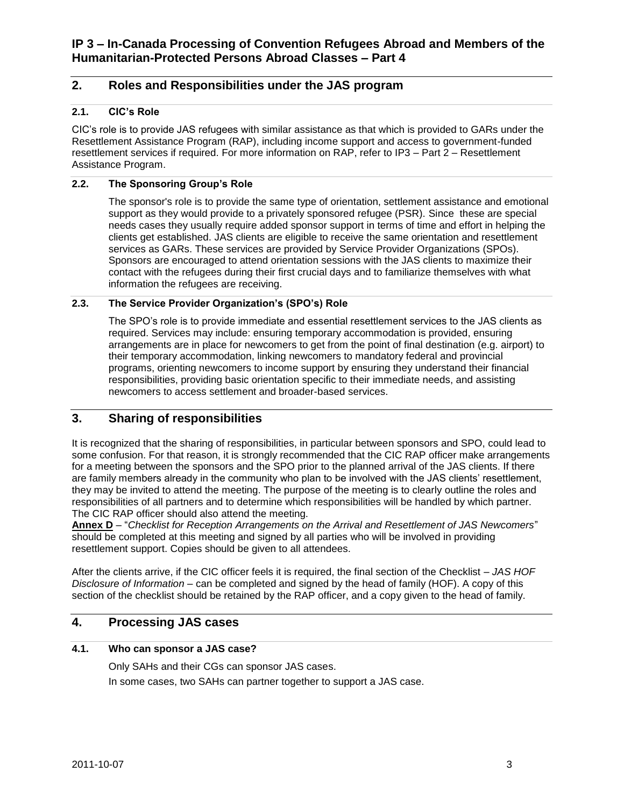# <span id="page-2-0"></span>**2. Roles and Responsibilities under the JAS program**

# <span id="page-2-1"></span>**2.1. CIC's Role**

CIC's role is to provide JAS refugees with similar assistance as that which is provided to GARs under the Resettlement Assistance Program (RAP), including income support and access to government-funded resettlement services if required. For more information on RAP, refer to IP3 – Part 2 – Resettlement Assistance Program.

# <span id="page-2-2"></span>**2.2. The Sponsoring Group's Role**

The sponsor's role is to provide the same type of orientation, settlement assistance and emotional support as they would provide to a privately sponsored refugee (PSR). Since these are special needs cases they usually require added sponsor support in terms of time and effort in helping the clients get established. JAS clients are eligible to receive the same orientation and resettlement services as GARs. These services are provided by Service Provider Organizations (SPOs). Sponsors are encouraged to attend orientation sessions with the JAS clients to maximize their contact with the refugees during their first crucial days and to familiarize themselves with what information the refugees are receiving.

# <span id="page-2-3"></span>**2.3. The Service Provider Organization's (SPO's) Role**

The SPO's role is to provide immediate and essential resettlement services to the JAS clients as required. Services may include: ensuring temporary accommodation is provided, ensuring arrangements are in place for newcomers to get from the point of final destination (e.g. airport) to their temporary accommodation, linking newcomers to mandatory federal and provincial programs, orienting newcomers to income support by ensuring they understand their financial responsibilities, providing basic orientation specific to their immediate needs, and assisting newcomers to access settlement and broader-based services.

# <span id="page-2-4"></span>**3. Sharing of responsibilities**

It is recognized that the sharing of responsibilities, in particular between sponsors and SPO, could lead to some confusion. For that reason, it is strongly recommended that the CIC RAP officer make arrangements for a meeting between the sponsors and the SPO prior to the planned arrival of the JAS clients. If there are family members already in the community who plan to be involved with the JAS clients' resettlement, they may be invited to attend the meeting. The purpose of the meeting is to clearly outline the roles and responsibilities of all partners and to determine which responsibilities will be handled by which partner. The CIC RAP officer should also attend the meeting.

**Annex D** – "*Checklist for Reception Arrangements on the Arrival and Resettlement of JAS Newcomers*" should be completed at this meeting and signed by all parties who will be involved in providing resettlement support. Copies should be given to all attendees.

After the clients arrive, if the CIC officer feels it is required, the final section of the Checklist – *JAS HOF Disclosure of Information* – can be completed and signed by the head of family (HOF). A copy of this section of the checklist should be retained by the RAP officer, and a copy given to the head of family.

# <span id="page-2-5"></span>**4. Processing JAS cases**

#### <span id="page-2-6"></span>**4.1. Who can sponsor a JAS case?**

Only SAHs and their CGs can sponsor JAS cases. In some cases, two SAHs can partner together to support a JAS case.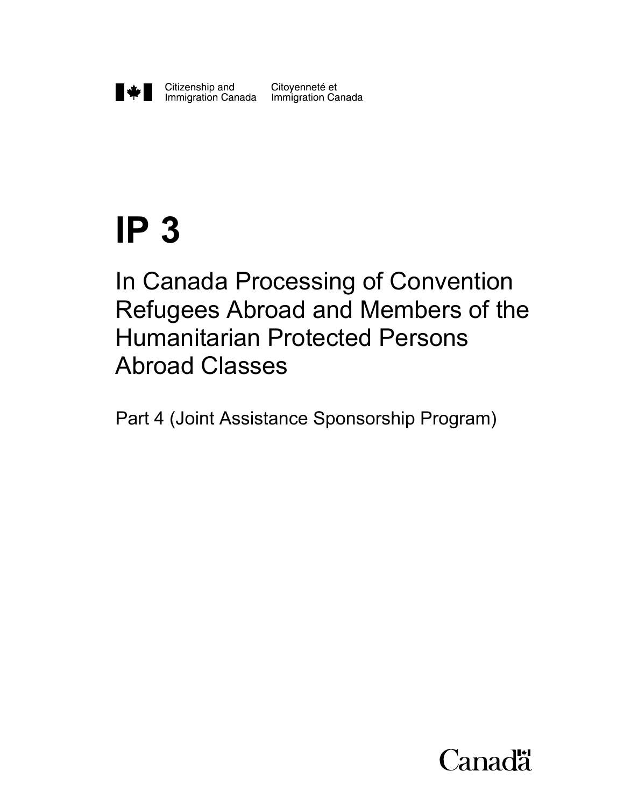

Citoyenneté et

# **IP 3**

In Canada Processing of Convention Refugees Abroad and Members of the Humanitarian Protected Persons Abroad Classes

Part 4 (Joint Assistance Sponsorship Program)

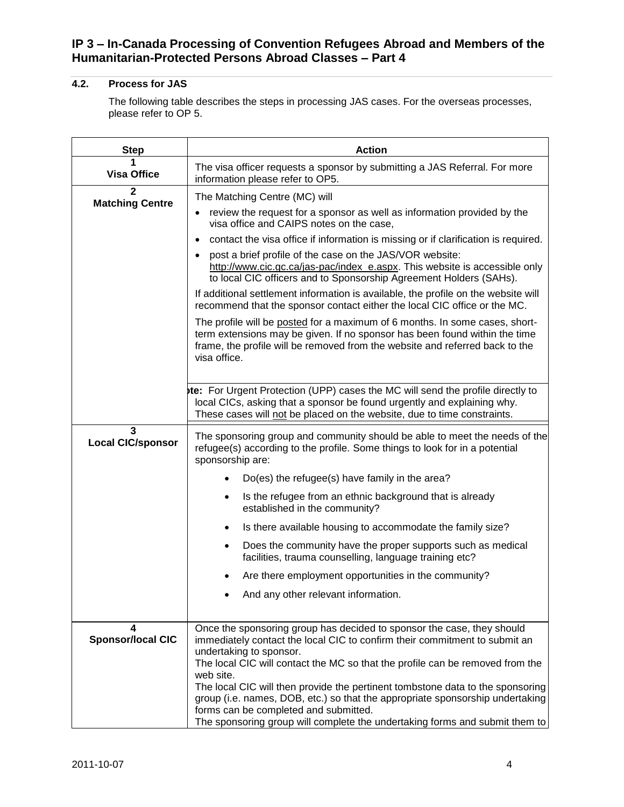# <span id="page-4-0"></span>**4.2. Process for JAS**

The following table describes the steps in processing JAS cases. For the overseas processes, please refer to OP 5.

| <b>Step</b>                   | <b>Action</b>                                                                                                                                                                                                                                             |
|-------------------------------|-----------------------------------------------------------------------------------------------------------------------------------------------------------------------------------------------------------------------------------------------------------|
| <b>Visa Office</b>            | The visa officer requests a sponsor by submitting a JAS Referral. For more<br>information please refer to OP5.                                                                                                                                            |
| $\mathbf{2}$                  | The Matching Centre (MC) will                                                                                                                                                                                                                             |
| <b>Matching Centre</b>        | review the request for a sponsor as well as information provided by the<br>٠<br>visa office and CAIPS notes on the case,                                                                                                                                  |
|                               | contact the visa office if information is missing or if clarification is required.<br>$\bullet$                                                                                                                                                           |
|                               | post a brief profile of the case on the JAS/VOR website:<br>$\bullet$<br>http://www.cic.gc.ca/jas-pac/index_e.aspx. This website is accessible only<br>to local CIC officers and to Sponsorship Agreement Holders (SAHs).                                 |
|                               | If additional settlement information is available, the profile on the website will<br>recommend that the sponsor contact either the local CIC office or the MC.                                                                                           |
|                               | The profile will be posted for a maximum of 6 months. In some cases, short-<br>term extensions may be given. If no sponsor has been found within the time<br>frame, the profile will be removed from the website and referred back to the<br>visa office. |
|                               | te: For Urgent Protection (UPP) cases the MC will send the profile directly to<br>local CICs, asking that a sponsor be found urgently and explaining why.<br>These cases will not be placed on the website, due to time constraints.                      |
| 3<br><b>Local CIC/sponsor</b> | The sponsoring group and community should be able to meet the needs of the<br>refugee(s) according to the profile. Some things to look for in a potential<br>sponsorship are:                                                                             |
|                               | Do(es) the refugee(s) have family in the area?                                                                                                                                                                                                            |
|                               | Is the refugee from an ethnic background that is already<br>$\bullet$<br>established in the community?                                                                                                                                                    |
|                               | Is there available housing to accommodate the family size?<br>$\bullet$                                                                                                                                                                                   |
|                               | Does the community have the proper supports such as medical<br>$\bullet$<br>facilities, trauma counselling, language training etc?                                                                                                                        |
|                               | Are there employment opportunities in the community?                                                                                                                                                                                                      |
|                               | And any other relevant information.                                                                                                                                                                                                                       |
|                               |                                                                                                                                                                                                                                                           |
| 4<br><b>Sponsor/local CIC</b> | Once the sponsoring group has decided to sponsor the case, they should<br>immediately contact the local CIC to confirm their commitment to submit an                                                                                                      |
|                               | undertaking to sponsor.                                                                                                                                                                                                                                   |
|                               | The local CIC will contact the MC so that the profile can be removed from the<br>web site.                                                                                                                                                                |
|                               | The local CIC will then provide the pertinent tombstone data to the sponsoring<br>group (i.e. names, DOB, etc.) so that the appropriate sponsorship undertaking<br>forms can be completed and submitted.                                                  |
|                               | The sponsoring group will complete the undertaking forms and submit them to                                                                                                                                                                               |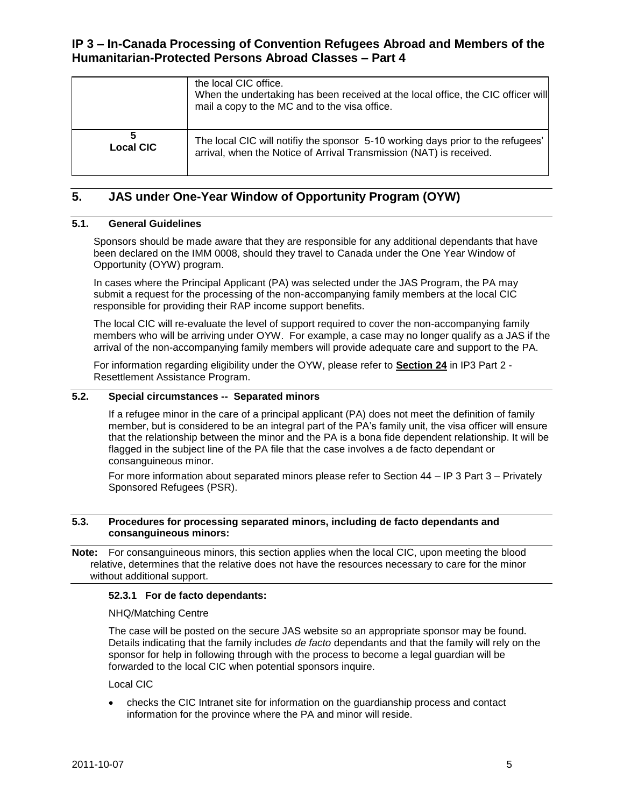|                  | the local CIC office.<br>When the undertaking has been received at the local office, the CIC officer will<br>mail a copy to the MC and to the visa office. |
|------------------|------------------------------------------------------------------------------------------------------------------------------------------------------------|
| <b>Local CIC</b> | The local CIC will notifiy the sponsor 5-10 working days prior to the refugees'<br>arrival, when the Notice of Arrival Transmission (NAT) is received.     |

# <span id="page-5-0"></span>**5. JAS under One-Year Window of Opportunity Program (OYW)**

#### <span id="page-5-1"></span>**5.1. General Guidelines**

Sponsors should be made aware that they are responsible for any additional dependants that have been declared on the IMM 0008, should they travel to Canada under the One Year Window of Opportunity (OYW) program.

In cases where the Principal Applicant (PA) was selected under the JAS Program, the PA may submit a request for the processing of the non-accompanying family members at the local CIC responsible for providing their RAP income support benefits.

The local CIC will re-evaluate the level of support required to cover the non-accompanying family members who will be arriving under OYW. For example, a case may no longer qualify as a JAS if the arrival of the non-accompanying family members will provide adequate care and support to the PA.

For information regarding eligibility under the OYW, please refer to **Section 24** in IP3 Part 2 - Resettlement Assistance Program.

#### <span id="page-5-2"></span>**5.2. Special circumstances -- Separated minors**

If a refugee minor in the care of a principal applicant (PA) does not meet the definition of family member, but is considered to be an integral part of the PA's family unit, the visa officer will ensure that the relationship between the minor and the PA is a bona fide dependent relationship. It will be flagged in the subject line of the PA file that the case involves a de facto dependant or consanguineous minor.

For more information about separated minors please refer to Section 44 – IP 3 Part 3 – Privately Sponsored Refugees (PSR).

#### <span id="page-5-3"></span>**5.3. Procedures for processing separated minors, including de facto dependants and consanguineous minors:**

**Note:** For consanguineous minors, this section applies when the local CIC, upon meeting the blood relative, determines that the relative does not have the resources necessary to care for the minor without additional support.

#### **52.3.1 For de facto dependants:**

#### NHQ/Matching Centre

The case will be posted on the secure JAS website so an appropriate sponsor may be found. Details indicating that the family includes *de facto* dependants and that the family will rely on the sponsor for help in following through with the process to become a legal guardian will be forwarded to the local CIC when potential sponsors inquire.

Local CIC

 checks the CIC Intranet site for information on the guardianship process and contact information for the province where the PA and minor will reside.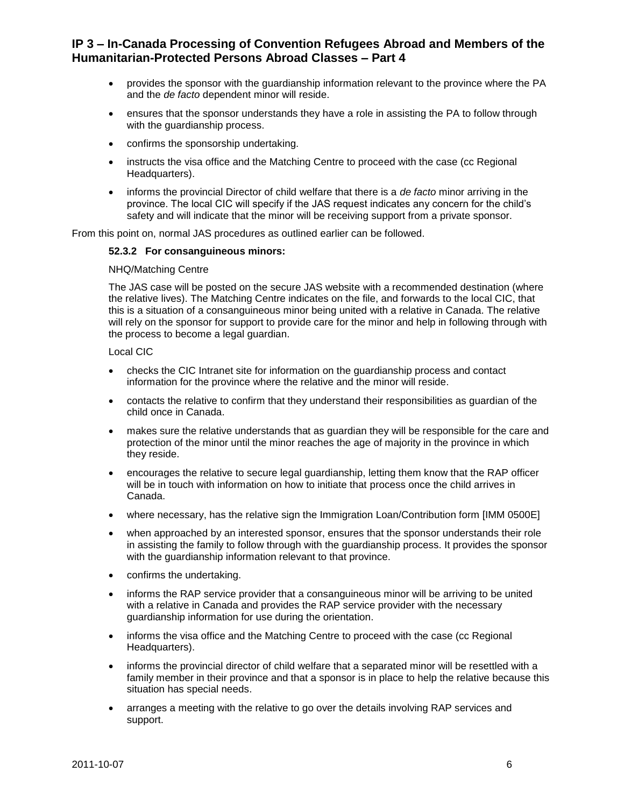- provides the sponsor with the guardianship information relevant to the province where the PA and the *de facto* dependent minor will reside.
- ensures that the sponsor understands they have a role in assisting the PA to follow through with the guardianship process.
- confirms the sponsorship undertaking.
- instructs the visa office and the Matching Centre to proceed with the case (cc Regional Headquarters).
- informs the provincial Director of child welfare that there is a *de facto* minor arriving in the province. The local CIC will specify if the JAS request indicates any concern for the child's safety and will indicate that the minor will be receiving support from a private sponsor.

From this point on, normal JAS procedures as outlined earlier can be followed.

#### **52.3.2 For consanguineous minors:**

#### NHQ/Matching Centre

The JAS case will be posted on the secure JAS website with a recommended destination (where the relative lives). The Matching Centre indicates on the file, and forwards to the local CIC, that this is a situation of a consanguineous minor being united with a relative in Canada. The relative will rely on the sponsor for support to provide care for the minor and help in following through with the process to become a legal guardian.

#### Local CIC

- checks the CIC Intranet site for information on the guardianship process and contact information for the province where the relative and the minor will reside.
- contacts the relative to confirm that they understand their responsibilities as guardian of the child once in Canada.
- makes sure the relative understands that as guardian they will be responsible for the care and protection of the minor until the minor reaches the age of majority in the province in which they reside.
- encourages the relative to secure legal guardianship, letting them know that the RAP officer will be in touch with information on how to initiate that process once the child arrives in Canada.
- where necessary, has the relative sign the Immigration Loan/Contribution form [IMM 0500E]
- when approached by an interested sponsor, ensures that the sponsor understands their role in assisting the family to follow through with the guardianship process. It provides the sponsor with the guardianship information relevant to that province.
- confirms the undertaking.
- informs the RAP service provider that a consanguineous minor will be arriving to be united with a relative in Canada and provides the RAP service provider with the necessary guardianship information for use during the orientation.
- informs the visa office and the Matching Centre to proceed with the case (cc Regional Headquarters).
- informs the provincial director of child welfare that a separated minor will be resettled with a family member in their province and that a sponsor is in place to help the relative because this situation has special needs.
- arranges a meeting with the relative to go over the details involving RAP services and support.